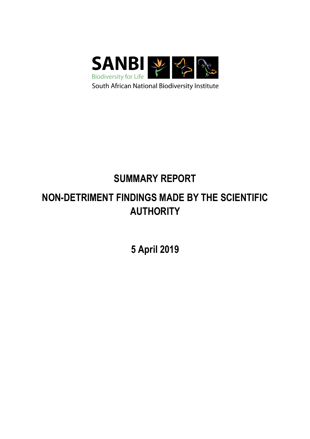

# SUMMARY REPORT

## NON-DETRIMENT FINDINGS MADE BY THE SCIENTIFIC AUTHORITY

5 April 2019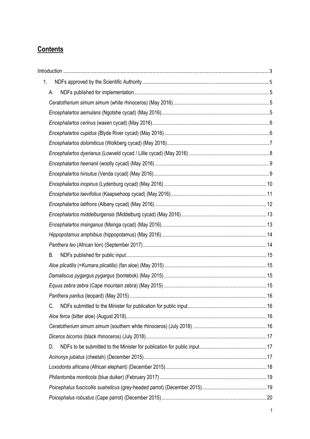## **Contents**

| 1. |    |  |
|----|----|--|
|    | А. |  |
|    |    |  |
|    |    |  |
|    |    |  |
|    |    |  |
|    |    |  |
|    |    |  |
|    |    |  |
|    |    |  |
|    |    |  |
|    |    |  |
|    |    |  |
|    |    |  |
|    |    |  |
|    |    |  |
|    |    |  |
|    | Β. |  |
|    |    |  |
|    |    |  |
|    |    |  |
|    |    |  |
|    | C. |  |
|    |    |  |
|    |    |  |
|    |    |  |
|    | D. |  |
|    |    |  |
|    |    |  |
|    |    |  |
|    |    |  |
|    |    |  |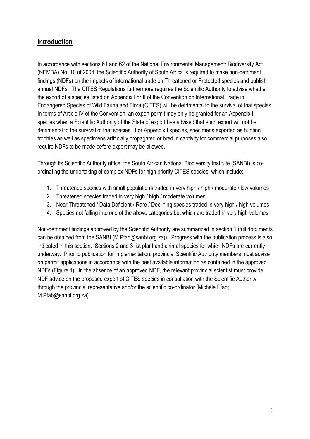## Introduction

In accordance with sections 61 and 62 of the National Environmental Management: Biodiversity Act (NEMBA) No. 10 of 2004, the Scientific Authority of South Africa is required to make non-detriment findings (NDFs) on the impacts of international trade on Threatened or Protected species and publish annual NDFs. The CITES Regulations furthermore requires the Scientific Authority to advise whether the export of a species listed on Appendix I or II of the Convention on International Trade in Endangered Species of Wild Fauna and Flora (CITES) will be detrimental to the survival of that species. In terms of Article IV of the Convention, an export permit may only be granted for an Appendix II species when a Scientific Authority of the State of export has advised that such export will not be detrimental to the survival of that species. For Appendix I species, specimens exported as hunting trophies as well as specimens artificially propagated or bred in captivity for commercial purposes also require NDFs to be made before export may be allowed.

Through its Scientific Authority office, the South African National Biodiversity Institute (SANBI) is coordinating the undertaking of complex NDFs for high priority CITES species, which include:

- 1. Threatened species with small populations traded in very high / high / moderate / low volumes
- 2. Threatened species traded in very high / high / moderate volumes
- 3. Near Threatened / Data Deficient / Rare / Declining species traded in very high / high volumes
- 4. Species not falling into one of the above categories but which are traded in very high volumes

Non-detriment findings approved by the Scientific Authority are summarized in section 1 (full documents can be obtained from the SANBI (M.Pfab@sanbi.org.za)). Progress with the publication process is also indicated in this section. Sections 2 and 3 list plant and animal species for which NDFs are currently underway. Prior to publication for implementation, provincial Scientific Authority members must advise on permit applications in accordance with the best available information as contained in the approved NDFs (Figure 1). In the absence of an approved NDF, the relevant provincial scientist must provide NDF advice on the proposed export of CITES species in consultation with the Scientific Authority through the provincial representative and/or the scientific co-ordinator (Michèle Pfab; M.Pfab@sanbi.org.za).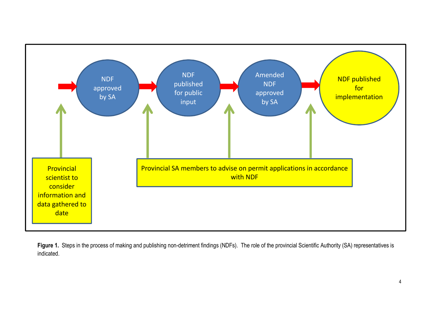

Figure 1. Steps in the process of making and publishing non-detriment findings (NDFs). The role of the provincial Scientific Authority (SA) representatives is indicated.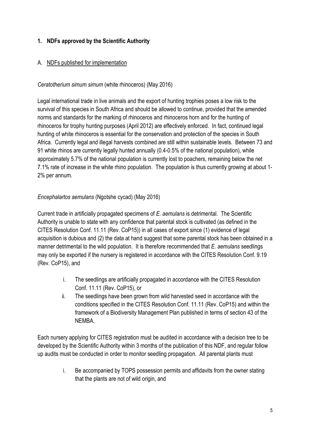## 1. NDFs approved by the Scientific Authority

#### A. NDFs published for implementation

#### Ceratotherium simum simum (white rhinoceros) (May 2016)

Legal international trade in live animals and the export of hunting trophies poses a low risk to the survival of this species in South Africa and should be allowed to continue, provided that the amended norms and standards for the marking of rhinoceros and rhinoceros horn and for the hunting of rhinoceros for trophy hunting purposes (April 2012) are effectively enforced. In fact, continued legal hunting of white rhinoceros is essential for the conservation and protection of the species in South Africa. Currently legal and illegal harvests combined are still within sustainable levels. Between 73 and 91 white rhinos are currently legally hunted annually (0.4-0.5% of the national population), while approximately 5.7% of the national population is currently lost to poachers, remaining below the net 7.1% rate of increase in the white rhino population. The population is thus currently growing at about 1- 2% per annum.

#### Encephalartos aemulans (Ngotshe cycad) (May 2016)

Current trade in artificially propagated specimens of E. aemulans is detrimental. The Scientific Authority is unable to state with any confidence that parental stock is cultivated (as defined in the CITES Resolution Conf. 11.11 (Rev. CoP15)) in all cases of export since (1) evidence of legal acquisition is dubious and (2) the data at hand suggest that some parental stock has been obtained in a manner detrimental to the wild population. It is therefore recommended that E. aemulans seedlings may only be exported if the nursery is registered in accordance with the CITES Resolution Conf. 9.19 (Rev. CoP15), and

- i. The seedlings are artificially propagated in accordance with the CITES Resolution Conf. 11.11 (Rev. CoP15), or
- ii. The seedlings have been grown from wild harvested seed in accordance with the conditions specified in the CITES Resolution Conf. 11.11 (Rev. CoP15) and within the framework of a Biodiversity Management Plan published in terms of section 43 of the NEMBA.

Each nursery applying for CITES registration must be audited in accordance with a decision tree to be developed by the Scientific Authority within 3 months of the publication of this NDF, and regular follow up audits must be conducted in order to monitor seedling propagation. All parental plants must

> i. Be accompanied by TOPS possession permits and affidavits from the owner stating that the plants are not of wild origin, and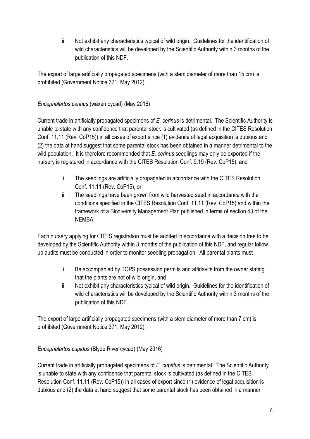ii. Not exhibit any characteristics typical of wild origin. Guidelines for the identification of wild characteristics will be developed by the Scientific Authority within 3 months of the publication of this NDF.

The export of large artificially propagated specimens (with a stem diameter of more than 15 cm) is prohibited (Government Notice 371, May 2012).

## Encephalartos cerinus (waxen cycad) (May 2016)

Current trade in artificially propagated specimens of E. cerinus is detrimental. The Scientific Authority is unable to state with any confidence that parental stock is cultivated (as defined in the CITES Resolution Conf. 11.11 (Rev. CoP15)) in all cases of export since (1) evidence of legal acquisition is dubious and (2) the data at hand suggest that some parental stock has been obtained in a manner detrimental to the wild population. It is therefore recommended that  $E$ . cerinus seedlings may only be exported if the nursery is registered in accordance with the CITES Resolution Conf. 9.19 (Rev. CoP15), and

- i. The seedlings are artificially propagated in accordance with the CITES Resolution Conf. 11.11 (Rev. CoP15), or
- ii. The seedlings have been grown from wild harvested seed in accordance with the conditions specified in the CITES Resolution Conf. 11.11 (Rev. CoP15) and within the framework of a Biodiversity Management Plan published in terms of section 43 of the NEMBA.

Each nursery applying for CITES registration must be audited in accordance with a decision tree to be developed by the Scientific Authority within 3 months of the publication of this NDF, and regular follow up audits must be conducted in order to monitor seedling propagation. All parental plants must

- i. Be accompanied by TOPS possession permits and affidavits from the owner stating that the plants are not of wild origin, and
- ii. Not exhibit any characteristics typical of wild origin. Guidelines for the identification of wild characteristics will be developed by the Scientific Authority within 3 months of the publication of this NDF.

The export of large artificially propagated specimens (with a stem diameter of more than 7 cm) is prohibited (Government Notice 371, May 2012).

#### Encephalartos cupidus (Blyde River cycad) (May 2016)

Current trade in artificially propagated specimens of E. cupidus is detrimental. The Scientific Authority is unable to state with any confidence that parental stock is cultivated (as defined in the CITES Resolution Conf. 11.11 (Rev. CoP15)) in all cases of export since (1) evidence of legal acquisition is dubious and (2) the data at hand suggest that some parental stock has been obtained in a manner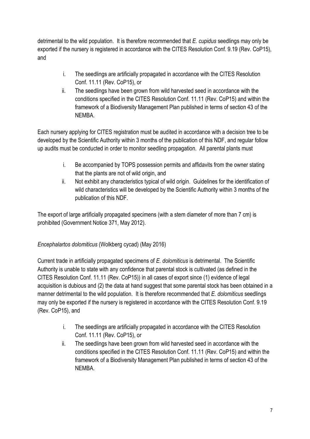detrimental to the wild population. It is therefore recommended that E. cupidus seedlings may only be exported if the nursery is registered in accordance with the CITES Resolution Conf. 9.19 (Rev. CoP15), and

- i. The seedlings are artificially propagated in accordance with the CITES Resolution Conf. 11.11 (Rev. CoP15), or
- ii. The seedlings have been grown from wild harvested seed in accordance with the conditions specified in the CITES Resolution Conf. 11.11 (Rev. CoP15) and within the framework of a Biodiversity Management Plan published in terms of section 43 of the NEMBA.

Each nursery applying for CITES registration must be audited in accordance with a decision tree to be developed by the Scientific Authority within 3 months of the publication of this NDF, and regular follow up audits must be conducted in order to monitor seedling propagation. All parental plants must

- i. Be accompanied by TOPS possession permits and affidavits from the owner stating that the plants are not of wild origin, and
- ii. Not exhibit any characteristics typical of wild origin. Guidelines for the identification of wild characteristics will be developed by the Scientific Authority within 3 months of the publication of this NDF.

The export of large artificially propagated specimens (with a stem diameter of more than 7 cm) is prohibited (Government Notice 371, May 2012).

## Encephalartos dolomiticus (Wolkberg cycad) (May 2016)

Current trade in artificially propagated specimens of E. dolomiticus is detrimental. The Scientific Authority is unable to state with any confidence that parental stock is cultivated (as defined in the CITES Resolution Conf. 11.11 (Rev. CoP15)) in all cases of export since (1) evidence of legal acquisition is dubious and (2) the data at hand suggest that some parental stock has been obtained in a manner detrimental to the wild population. It is therefore recommended that E. dolomiticus seedlings may only be exported if the nursery is registered in accordance with the CITES Resolution Conf. 9.19 (Rev. CoP15), and

- i. The seedlings are artificially propagated in accordance with the CITES Resolution Conf. 11.11 (Rev. CoP15), or
- ii. The seedlings have been grown from wild harvested seed in accordance with the conditions specified in the CITES Resolution Conf. 11.11 (Rev. CoP15) and within the framework of a Biodiversity Management Plan published in terms of section 43 of the NEMBA.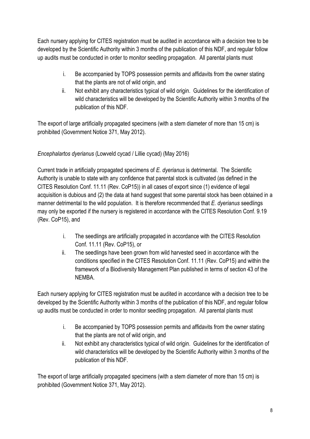Each nursery applying for CITES registration must be audited in accordance with a decision tree to be developed by the Scientific Authority within 3 months of the publication of this NDF, and regular follow up audits must be conducted in order to monitor seedling propagation. All parental plants must

- i. Be accompanied by TOPS possession permits and affidavits from the owner stating that the plants are not of wild origin, and
- ii. Not exhibit any characteristics typical of wild origin. Guidelines for the identification of wild characteristics will be developed by the Scientific Authority within 3 months of the publication of this NDF.

The export of large artificially propagated specimens (with a stem diameter of more than 15 cm) is prohibited (Government Notice 371, May 2012).

## Encephalartos dyerianus (Lowveld cycad / Lillie cycad) (May 2016)

Current trade in artificially propagated specimens of E. dyerianus is detrimental. The Scientific Authority is unable to state with any confidence that parental stock is cultivated (as defined in the CITES Resolution Conf. 11.11 (Rev. CoP15)) in all cases of export since (1) evidence of legal acquisition is dubious and (2) the data at hand suggest that some parental stock has been obtained in a manner detrimental to the wild population. It is therefore recommended that E. dyerianus seedlings may only be exported if the nursery is registered in accordance with the CITES Resolution Conf. 9.19 (Rev. CoP15), and

- i. The seedlings are artificially propagated in accordance with the CITES Resolution Conf. 11.11 (Rev. CoP15), or
- ii. The seedlings have been grown from wild harvested seed in accordance with the conditions specified in the CITES Resolution Conf. 11.11 (Rev. CoP15) and within the framework of a Biodiversity Management Plan published in terms of section 43 of the NEMBA.

Each nursery applying for CITES registration must be audited in accordance with a decision tree to be developed by the Scientific Authority within 3 months of the publication of this NDF, and regular follow up audits must be conducted in order to monitor seedling propagation. All parental plants must

- i. Be accompanied by TOPS possession permits and affidavits from the owner stating that the plants are not of wild origin, and
- ii. Not exhibit any characteristics typical of wild origin. Guidelines for the identification of wild characteristics will be developed by the Scientific Authority within 3 months of the publication of this NDF.

The export of large artificially propagated specimens (with a stem diameter of more than 15 cm) is prohibited (Government Notice 371, May 2012).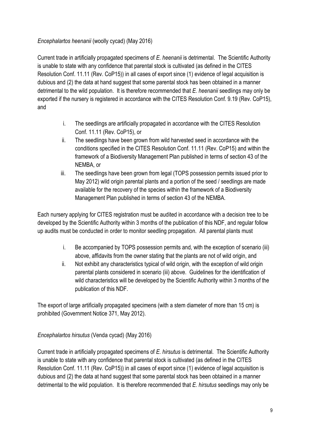## Encephalartos heenanii (woolly cycad) (May 2016)

Current trade in artificially propagated specimens of E. heenanii is detrimental. The Scientific Authority is unable to state with any confidence that parental stock is cultivated (as defined in the CITES Resolution Conf. 11.11 (Rev. CoP15)) in all cases of export since (1) evidence of legal acquisition is dubious and (2) the data at hand suggest that some parental stock has been obtained in a manner detrimental to the wild population. It is therefore recommended that  $E$ , heenanii seedlings may only be exported if the nursery is registered in accordance with the CITES Resolution Conf. 9.19 (Rev. CoP15), and

- i. The seedlings are artificially propagated in accordance with the CITES Resolution Conf. 11.11 (Rev. CoP15), or
- ii. The seedlings have been grown from wild harvested seed in accordance with the conditions specified in the CITES Resolution Conf. 11.11 (Rev. CoP15) and within the framework of a Biodiversity Management Plan published in terms of section 43 of the NEMBA, or
- iii. The seedlings have been grown from legal (TOPS possession permits issued prior to May 2012) wild origin parental plants and a portion of the seed / seedlings are made available for the recovery of the species within the framework of a Biodiversity Management Plan published in terms of section 43 of the NEMBA.

Each nursery applying for CITES registration must be audited in accordance with a decision tree to be developed by the Scientific Authority within 3 months of the publication of this NDF, and regular follow up audits must be conducted in order to monitor seedling propagation. All parental plants must

- i. Be accompanied by TOPS possession permits and, with the exception of scenario (iii) above, affidavits from the owner stating that the plants are not of wild origin, and
- ii. Not exhibit any characteristics typical of wild origin, with the exception of wild origin parental plants considered in scenario (iii) above. Guidelines for the identification of wild characteristics will be developed by the Scientific Authority within 3 months of the publication of this NDF.

The export of large artificially propagated specimens (with a stem diameter of more than 15 cm) is prohibited (Government Notice 371, May 2012).

## Encephalartos hirsutus (Venda cycad) (May 2016)

Current trade in artificially propagated specimens of E. hirsutus is detrimental. The Scientific Authority is unable to state with any confidence that parental stock is cultivated (as defined in the CITES Resolution Conf. 11.11 (Rev. CoP15)) in all cases of export since (1) evidence of legal acquisition is dubious and (2) the data at hand suggest that some parental stock has been obtained in a manner detrimental to the wild population. It is therefore recommended that E. hirsutus seedlings may only be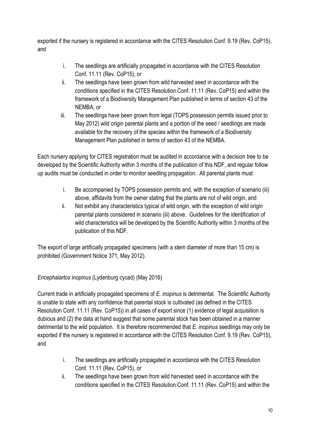exported if the nursery is registered in accordance with the CITES Resolution Conf. 9.19 (Rev. CoP15), and

- i. The seedlings are artificially propagated in accordance with the CITES Resolution Conf. 11.11 (Rev. CoP15), or
- ii. The seedlings have been grown from wild harvested seed in accordance with the conditions specified in the CITES Resolution Conf. 11.11 (Rev. CoP15) and within the framework of a Biodiversity Management Plan published in terms of section 43 of the NEMBA, or
- iii. The seedlings have been grown from legal (TOPS possession permits issued prior to May 2012) wild origin parental plants and a portion of the seed / seedlings are made available for the recovery of the species within the framework of a Biodiversity Management Plan published in terms of section 43 of the NEMBA.

Each nursery applying for CITES registration must be audited in accordance with a decision tree to be developed by the Scientific Authority within 3 months of the publication of this NDF, and regular follow up audits must be conducted in order to monitor seedling propagation. All parental plants must

- i. Be accompanied by TOPS possession permits and, with the exception of scenario (iii) above, affidavits from the owner stating that the plants are not of wild origin, and
- ii. Not exhibit any characteristics typical of wild origin, with the exception of wild origin parental plants considered in scenario (iii) above. Guidelines for the identification of wild characteristics will be developed by the Scientific Authority within 3 months of the publication of this NDF.

The export of large artificially propagated specimens (with a stem diameter of more than 15 cm) is prohibited (Government Notice 371, May 2012).

## Encephalartos inopinus (Lydenburg cycad) (May 2016)

Current trade in artificially propagated specimens of E. inopinus is detrimental. The Scientific Authority is unable to state with any confidence that parental stock is cultivated (as defined in the CITES Resolution Conf. 11.11 (Rev. CoP15)) in all cases of export since (1) evidence of legal acquisition is dubious and (2) the data at hand suggest that some parental stock has been obtained in a manner detrimental to the wild population. It is therefore recommended that  $E$ . inopinus seedlings may only be exported if the nursery is registered in accordance with the CITES Resolution Conf. 9.19 (Rev. CoP15), and

- i. The seedlings are artificially propagated in accordance with the CITES Resolution Conf. 11.11 (Rev. CoP15), or
- ii. The seedlings have been grown from wild harvested seed in accordance with the conditions specified in the CITES Resolution Conf. 11.11 (Rev. CoP15) and within the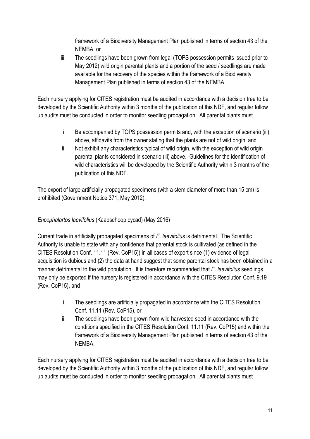framework of a Biodiversity Management Plan published in terms of section 43 of the NEMBA, or

iii. The seedlings have been grown from legal (TOPS possession permits issued prior to May 2012) wild origin parental plants and a portion of the seed / seedlings are made available for the recovery of the species within the framework of a Biodiversity Management Plan published in terms of section 43 of the NEMBA.

Each nursery applying for CITES registration must be audited in accordance with a decision tree to be developed by the Scientific Authority within 3 months of the publication of this NDF, and regular follow up audits must be conducted in order to monitor seedling propagation. All parental plants must

- i. Be accompanied by TOPS possession permits and, with the exception of scenario (iii) above, affidavits from the owner stating that the plants are not of wild origin, and
- ii. Not exhibit any characteristics typical of wild origin, with the exception of wild origin parental plants considered in scenario (iii) above. Guidelines for the identification of wild characteristics will be developed by the Scientific Authority within 3 months of the publication of this NDF.

The export of large artificially propagated specimens (with a stem diameter of more than 15 cm) is prohibited (Government Notice 371, May 2012).

## Encephalartos laevifolius (Kaapsehoop cycad) (May 2016)

Current trade in artificially propagated specimens of E. laevifolius is detrimental. The Scientific Authority is unable to state with any confidence that parental stock is cultivated (as defined in the CITES Resolution Conf. 11.11 (Rev. CoP15)) in all cases of export since (1) evidence of legal acquisition is dubious and (2) the data at hand suggest that some parental stock has been obtained in a manner detrimental to the wild population. It is therefore recommended that E. laevifolius seedlings may only be exported if the nursery is registered in accordance with the CITES Resolution Conf. 9.19 (Rev. CoP15), and

- i. The seedlings are artificially propagated in accordance with the CITES Resolution Conf. 11.11 (Rev. CoP15), or
- ii. The seedlings have been grown from wild harvested seed in accordance with the conditions specified in the CITES Resolution Conf. 11.11 (Rev. CoP15) and within the framework of a Biodiversity Management Plan published in terms of section 43 of the NEMBA.

Each nursery applying for CITES registration must be audited in accordance with a decision tree to be developed by the Scientific Authority within 3 months of the publication of this NDF, and regular follow up audits must be conducted in order to monitor seedling propagation. All parental plants must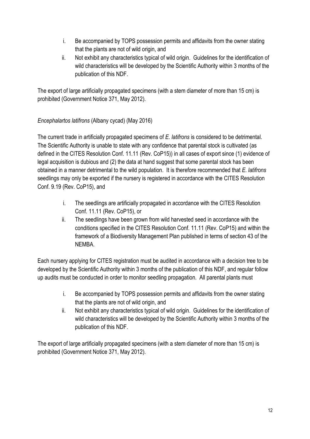- i. Be accompanied by TOPS possession permits and affidavits from the owner stating that the plants are not of wild origin, and
- ii. Not exhibit any characteristics typical of wild origin. Guidelines for the identification of wild characteristics will be developed by the Scientific Authority within 3 months of the publication of this NDF.

The export of large artificially propagated specimens (with a stem diameter of more than 15 cm) is prohibited (Government Notice 371, May 2012).

## Encephalartos latifrons (Albany cycad) (May 2016)

The current trade in artificially propagated specimens of E. latifrons is considered to be detrimental. The Scientific Authority is unable to state with any confidence that parental stock is cultivated (as defined in the CITES Resolution Conf. 11.11 (Rev. CoP15)) in all cases of export since (1) evidence of legal acquisition is dubious and (2) the data at hand suggest that some parental stock has been obtained in a manner detrimental to the wild population. It is therefore recommended that E. latifrons seedlings may only be exported if the nursery is registered in accordance with the CITES Resolution Conf. 9.19 (Rev. CoP15), and

- i. The seedlings are artificially propagated in accordance with the CITES Resolution Conf. 11.11 (Rev. CoP15), or
- ii. The seedlings have been grown from wild harvested seed in accordance with the conditions specified in the CITES Resolution Conf. 11.11 (Rev. CoP15) and within the framework of a Biodiversity Management Plan published in terms of section 43 of the NEMBA.

Each nursery applying for CITES registration must be audited in accordance with a decision tree to be developed by the Scientific Authority within 3 months of the publication of this NDF, and regular follow up audits must be conducted in order to monitor seedling propagation. All parental plants must

- i. Be accompanied by TOPS possession permits and affidavits from the owner stating that the plants are not of wild origin, and
- ii. Not exhibit any characteristics typical of wild origin. Guidelines for the identification of wild characteristics will be developed by the Scientific Authority within 3 months of the publication of this NDF.

The export of large artificially propagated specimens (with a stem diameter of more than 15 cm) is prohibited (Government Notice 371, May 2012).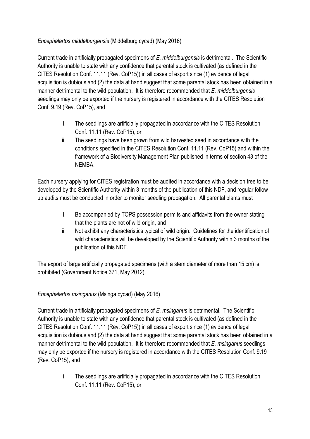## Encephalartos middelburgensis (Middelburg cycad) (May 2016)

Current trade in artificially propagated specimens of E. middelburgensis is detrimental. The Scientific Authority is unable to state with any confidence that parental stock is cultivated (as defined in the CITES Resolution Conf. 11.11 (Rev. CoP15)) in all cases of export since (1) evidence of legal acquisition is dubious and (2) the data at hand suggest that some parental stock has been obtained in a manner detrimental to the wild population. It is therefore recommended that E, middelburgensis seedlings may only be exported if the nursery is registered in accordance with the CITES Resolution Conf. 9.19 (Rev. CoP15), and

- i. The seedlings are artificially propagated in accordance with the CITES Resolution Conf. 11.11 (Rev. CoP15), or
- ii. The seedlings have been grown from wild harvested seed in accordance with the conditions specified in the CITES Resolution Conf. 11.11 (Rev. CoP15) and within the framework of a Biodiversity Management Plan published in terms of section 43 of the NEMBA.

Each nursery applying for CITES registration must be audited in accordance with a decision tree to be developed by the Scientific Authority within 3 months of the publication of this NDF, and regular follow up audits must be conducted in order to monitor seedling propagation. All parental plants must

- i. Be accompanied by TOPS possession permits and affidavits from the owner stating that the plants are not of wild origin, and
- ii. Not exhibit any characteristics typical of wild origin. Guidelines for the identification of wild characteristics will be developed by the Scientific Authority within 3 months of the publication of this NDF.

The export of large artificially propagated specimens (with a stem diameter of more than 15 cm) is prohibited (Government Notice 371, May 2012).

## Encephalartos msinganus (Msinga cycad) (May 2016)

Current trade in artificially propagated specimens of E. msinganus is detrimental. The Scientific Authority is unable to state with any confidence that parental stock is cultivated (as defined in the CITES Resolution Conf. 11.11 (Rev. CoP15)) in all cases of export since (1) evidence of legal acquisition is dubious and (2) the data at hand suggest that some parental stock has been obtained in a manner detrimental to the wild population. It is therefore recommended that E, msinganus seedlings may only be exported if the nursery is registered in accordance with the CITES Resolution Conf. 9.19 (Rev. CoP15), and

> i. The seedlings are artificially propagated in accordance with the CITES Resolution Conf. 11.11 (Rev. CoP15), or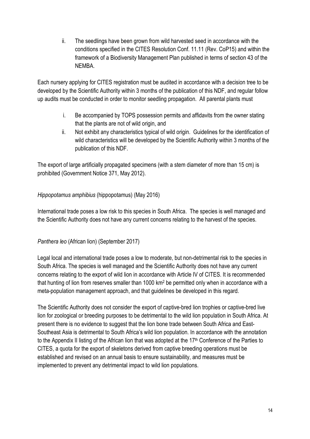ii. The seedlings have been grown from wild harvested seed in accordance with the conditions specified in the CITES Resolution Conf. 11.11 (Rev. CoP15) and within the framework of a Biodiversity Management Plan published in terms of section 43 of the NEMBA.

Each nursery applying for CITES registration must be audited in accordance with a decision tree to be developed by the Scientific Authority within 3 months of the publication of this NDF, and regular follow up audits must be conducted in order to monitor seedling propagation. All parental plants must

- i. Be accompanied by TOPS possession permits and affidavits from the owner stating that the plants are not of wild origin, and
- ii. Not exhibit any characteristics typical of wild origin. Guidelines for the identification of wild characteristics will be developed by the Scientific Authority within 3 months of the publication of this NDF.

The export of large artificially propagated specimens (with a stem diameter of more than 15 cm) is prohibited (Government Notice 371, May 2012).

## Hippopotamus amphibius (hippopotamus) (May 2016)

International trade poses a low risk to this species in South Africa. The species is well managed and the Scientific Authority does not have any current concerns relating to the harvest of the species.

## Panthera leo (African lion) (September 2017)

Legal local and international trade poses a low to moderate, but non-detrimental risk to the species in South Africa. The species is well managed and the Scientific Authority does not have any current concerns relating to the export of wild lion in accordance with Article IV of CITES. It is recommended that hunting of lion from reserves smaller than 1000 km<sup>2</sup> be permitted only when in accordance with a meta-population management approach, and that guidelines be developed in this regard.

The Scientific Authority does not consider the export of captive-bred lion trophies or captive-bred live lion for zoological or breeding purposes to be detrimental to the wild lion population in South Africa. At present there is no evidence to suggest that the lion bone trade between South Africa and East-Southeast Asia is detrimental to South Africa's wild lion population. In accordance with the annotation to the Appendix II listing of the African lion that was adopted at the 17<sup>th</sup> Conference of the Parties to CITES, a quota for the export of skeletons derived from captive breeding operations must be established and revised on an annual basis to ensure sustainability, and measures must be implemented to prevent any detrimental impact to wild lion populations.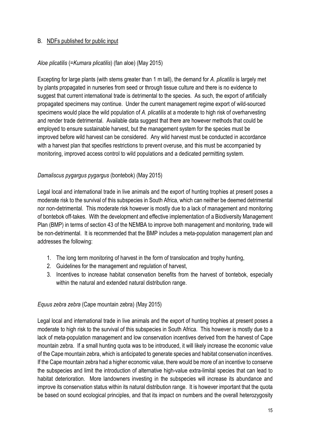#### B. NDFs published for public input

#### Aloe plicatilis (=Kumara plicatilis) (fan aloe) (May 2015)

Excepting for large plants (with stems greater than 1 m tall), the demand for A. plicatilis is largely met by plants propagated in nurseries from seed or through tissue culture and there is no evidence to suggest that current international trade is detrimental to the species. As such, the export of artificially propagated specimens may continue. Under the current management regime export of wild-sourced specimens would place the wild population of A. plicatilis at a moderate to high risk of overharvesting and render trade detrimental. Available data suggest that there are however methods that could be employed to ensure sustainable harvest, but the management system for the species must be improved before wild harvest can be considered. Any wild harvest must be conducted in accordance with a harvest plan that specifies restrictions to prevent overuse, and this must be accompanied by monitoring, improved access control to wild populations and a dedicated permitting system.

#### Damaliscus pygargus pygargus (bontebok) (May 2015)

Legal local and international trade in live animals and the export of hunting trophies at present poses a moderate risk to the survival of this subspecies in South Africa, which can neither be deemed detrimental nor non-detrimental. This moderate risk however is mostly due to a lack of management and monitoring of bontebok off-takes. With the development and effective implementation of a Biodiversity Management Plan (BMP) in terms of section 43 of the NEMBA to improve both management and monitoring, trade will be non-detrimental. It is recommended that the BMP includes a meta-population management plan and addresses the following:

- 1. The long term monitoring of harvest in the form of translocation and trophy hunting,
- 2. Guidelines for the management and regulation of harvest,
- 3. Incentives to increase habitat conservation benefits from the harvest of bontebok, especially within the natural and extended natural distribution range.

#### Equus zebra zebra (Cape mountain zebra) (May 2015)

Legal local and international trade in live animals and the export of hunting trophies at present poses a moderate to high risk to the survival of this subspecies in South Africa. This however is mostly due to a lack of meta-population management and low conservation incentives derived from the harvest of Cape mountain zebra. If a small hunting quota was to be introduced, it will likely increase the economic value of the Cape mountain zebra, which is anticipated to generate species and habitat conservation incentives. If the Cape mountain zebra had a higher economic value, there would be more of an incentive to conserve the subspecies and limit the introduction of alternative high-value extra-limital species that can lead to habitat deterioration. More landowners investing in the subspecies will increase its abundance and improve its conservation status within its natural distribution range. It is however important that the quota be based on sound ecological principles, and that its impact on numbers and the overall heterozygosity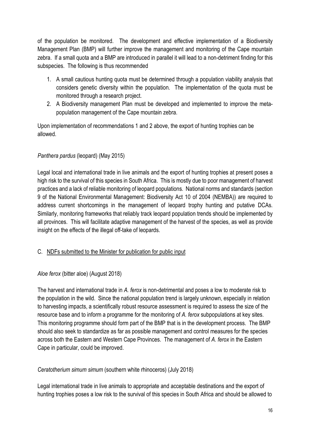of the population be monitored. The development and effective implementation of a Biodiversity Management Plan (BMP) will further improve the management and monitoring of the Cape mountain zebra. If a small quota and a BMP are introduced in parallel it will lead to a non-detriment finding for this subspecies. The following is thus recommended

- 1. A small cautious hunting quota must be determined through a population viability analysis that considers genetic diversity within the population. The implementation of the quota must be monitored through a research project.
- 2. A Biodiversity management Plan must be developed and implemented to improve the metapopulation management of the Cape mountain zebra.

Upon implementation of recommendations 1 and 2 above, the export of hunting trophies can be allowed.

## Panthera pardus (leopard) (May 2015)

Legal local and international trade in live animals and the export of hunting trophies at present poses a high risk to the survival of this species in South Africa. This is mostly due to poor management of harvest practices and a lack of reliable monitoring of leopard populations. National norms and standards (section 9 of the National Environmental Management: Biodiversity Act 10 of 2004 (NEMBA)) are required to address current shortcomings in the management of leopard trophy hunting and putative DCAs. Similarly, monitoring frameworks that reliably track leopard population trends should be implemented by all provinces. This will facilitate adaptive management of the harvest of the species, as well as provide insight on the effects of the illegal off-take of leopards.

## C. NDFs submitted to the Minister for publication for public input

#### Aloe ferox (bitter aloe) (August 2018)

The harvest and international trade in A. ferox is non-detrimental and poses a low to moderate risk to the population in the wild. Since the national population trend is largely unknown, especially in relation to harvesting impacts, a scientifically robust resource assessment is required to assess the size of the resource base and to inform a programme for the monitoring of A. ferox subpopulations at key sites. This monitoring programme should form part of the BMP that is in the development process. The BMP should also seek to standardize as far as possible management and control measures for the species across both the Eastern and Western Cape Provinces. The management of A. ferox in the Eastern Cape in particular, could be improved.

#### Ceratotherium simum simum (southern white rhinoceros) (July 2018)

Legal international trade in live animals to appropriate and acceptable destinations and the export of hunting trophies poses a low risk to the survival of this species in South Africa and should be allowed to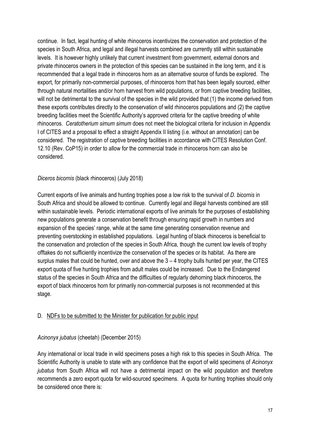continue. In fact, legal hunting of white rhinoceros incentivizes the conservation and protection of the species in South Africa, and legal and illegal harvests combined are currently still within sustainable levels. It is however highly unlikely that current investment from government, external donors and private rhinoceros owners in the protection of this species can be sustained in the long term, and it is recommended that a legal trade in rhinoceros horn as an alternative source of funds be explored. The export, for primarily non-commercial purposes, of rhinoceros horn that has been legally sourced, either through natural mortalities and/or horn harvest from wild populations, or from captive breeding facilities, will not be detrimental to the survival of the species in the wild provided that (1) the income derived from these exports contributes directly to the conservation of wild rhinoceros populations and (2) the captive breeding facilities meet the Scientific Authority's approved criteria for the captive breeding of white rhinoceros. Ceratotherium simum simum does not meet the biological criteria for inclusion in Appendix I of CITES and a proposal to effect a straight Appendix II listing (i.e. without an annotation) can be considered. The registration of captive breeding facilities in accordance with CITES Resolution Conf. 12.10 (Rev. CoP15) in order to allow for the commercial trade in rhinoceros horn can also be considered.

#### Diceros bicornis (black rhinoceros) (July 2018)

Current exports of live animals and hunting trophies pose a low risk to the survival of D. bicornis in South Africa and should be allowed to continue. Currently legal and illegal harvests combined are still within sustainable levels. Periodic international exports of live animals for the purposes of establishing new populations generate a conservation benefit through ensuring rapid growth in numbers and expansion of the species' range, while at the same time generating conservation revenue and preventing overstocking in established populations. Legal hunting of black rhinoceros is beneficial to the conservation and protection of the species in South Africa, though the current low levels of trophy offtakes do not sufficiently incentivize the conservation of the species or its habitat. As there are surplus males that could be hunted, over and above the 3 – 4 trophy bulls hunted per year, the CITES export quota of five hunting trophies from adult males could be increased. Due to the Endangered status of the species in South Africa and the difficulties of regularly dehorning black rhinoceros, the export of black rhinoceros horn for primarily non-commercial purposes is not recommended at this stage.

#### D. NDFs to be submitted to the Minister for publication for public input

#### Acinonyx jubatus (cheetah) (December 2015)

Any international or local trade in wild specimens poses a high risk to this species in South Africa. The Scientific Authority is unable to state with any confidence that the export of wild specimens of Acinonyx jubatus from South Africa will not have a detrimental impact on the wild population and therefore recommends a zero export quota for wild-sourced specimens. A quota for hunting trophies should only be considered once there is: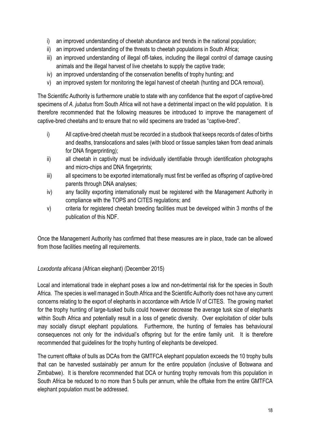- i) an improved understanding of cheetah abundance and trends in the national population;
- ii) an improved understanding of the threats to cheetah populations in South Africa;
- iii) an improved understanding of illegal off-takes, including the illegal control of damage causing animals and the illegal harvest of live cheetahs to supply the captive trade;
- iv) an improved understanding of the conservation benefits of trophy hunting; and
- v) an improved system for monitoring the legal harvest of cheetah (hunting and DCA removal).

The Scientific Authority is furthermore unable to state with any confidence that the export of captive-bred specimens of A. jubatus from South Africa will not have a detrimental impact on the wild population. It is therefore recommended that the following measures be introduced to improve the management of captive-bred cheetahs and to ensure that no wild specimens are traded as "captive-bred".

- i) All captive-bred cheetah must be recorded in a studbook that keeps records of dates of births and deaths, translocations and sales (with blood or tissue samples taken from dead animals for DNA fingerprinting);
- ii) all cheetah in captivity must be individually identifiable through identification photographs and micro-chips and DNA fingerprints;
- iii) all specimens to be exported internationally must first be verified as offspring of captive-bred parents through DNA analyses;
- iv) any facility exporting internationally must be registered with the Management Authority in compliance with the TOPS and CITES regulations; and
- v) criteria for registered cheetah breeding facilities must be developed within 3 months of the publication of this NDF.

Once the Management Authority has confirmed that these measures are in place, trade can be allowed from those facilities meeting all requirements.

#### Loxodonta africana (African elephant) (December 2015)

Local and international trade in elephant poses a low and non-detrimental risk for the species in South Africa. The species is well managed in South Africa and the Scientific Authority does not have any current concerns relating to the export of elephants in accordance with Article IV of CITES. The growing market for the trophy hunting of large-tusked bulls could however decrease the average tusk size of elephants within South Africa and potentially result in a loss of genetic diversity. Over exploitation of older bulls may socially disrupt elephant populations. Furthermore, the hunting of females has behavioural consequences not only for the individual's offspring but for the entire family unit. It is therefore recommended that guidelines for the trophy hunting of elephants be developed.

The current offtake of bulls as DCAs from the GMTFCA elephant population exceeds the 10 trophy bulls that can be harvested sustainably per annum for the entire population (inclusive of Botswana and Zimbabwe). It is therefore recommended that DCA or hunting trophy removals from this population in South Africa be reduced to no more than 5 bulls per annum, while the offtake from the entire GMTFCA elephant population must be addressed.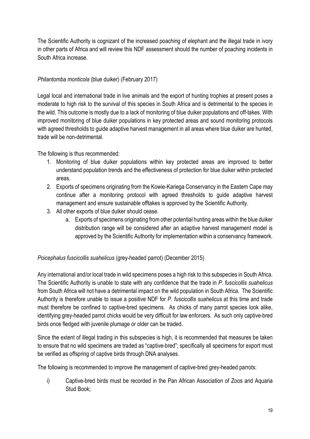The Scientific Authority is cognizant of the increased poaching of elephant and the illegal trade in ivory in other parts of Africa and will review this NDF assessment should the number of poaching incidents in South Africa increase.

#### Philantomba monticola (blue duiker) (February 2017)

Legal local and international trade in live animals and the export of hunting trophies at present poses a moderate to high risk to the survival of this species in South Africa and is detrimental to the species in the wild. This outcome is mostly due to a lack of monitoring of blue duiker populations and off-takes. With improved monitoring of blue duiker populations in key protected areas and sound monitoring protocols with agreed thresholds to guide adaptive harvest management in all areas where blue duiker are hunted, trade will be non-detrimental.

The following is thus recommended:

- 1. Monitoring of blue duiker populations within key protected areas are improved to better understand population trends and the effectiveness of protection for blue duiker within protected areas.
- 2. Exports of specimens originating from the Kowie-Kariega Conservancy in the Eastern Cape may continue after a monitoring protocol with agreed thresholds to guide adaptive harvest management and ensure sustainable offtakes is approved by the Scientific Authority.
- 3. All other exports of blue duiker should cease.
	- a. Exports of specimens originating from other potential hunting areas within the blue duiker distribution range will be considered after an adaptive harvest management model is approved by the Scientific Authority for implementation within a conservancy framework.

## Poicephalus fuscicollis suahelicus (grey-headed parrot) (December 2015)

Any international and/or local trade in wild specimens poses a high risk to this subspecies in South Africa. The Scientific Authority is unable to state with any confidence that the trade in P. fuscicollis suahelicus from South Africa will not have a detrimental impact on the wild population in South Africa. The Scientific Authority is therefore unable to issue a positive NDF for P. fuscicollis suahelicus at this time and trade must therefore be confined to captive-bred specimens. As chicks of many parrot species look alike, identifying grey-headed parrot chicks would be very difficult for law enforcers. As such only captive-bred birds once fledged with juvenile plumage or older can be traded.

Since the extent of illegal trading in this subspecies is high, it is recommended that measures be taken to ensure that no wild specimens are traded as "captive-bred"; specifically all specimens for export must be verified as offspring of captive birds through DNA analyses.

The following is recommended to improve the management of captive-bred grey-headed parrots:

i) Captive-bred birds must be recorded in the Pan African Association of Zoos and Aquaria Stud Book;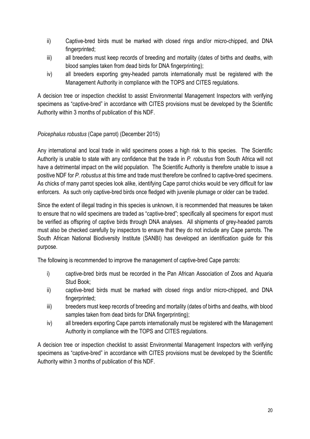- ii) Captive-bred birds must be marked with closed rings and/or micro-chipped, and DNA fingerprinted;
- iii) all breeders must keep records of breeding and mortality (dates of births and deaths, with blood samples taken from dead birds for DNA fingerprinting);
- iv) all breeders exporting grey-headed parrots internationally must be registered with the Management Authority in compliance with the TOPS and CITES regulations.

A decision tree or inspection checklist to assist Environmental Management Inspectors with verifying specimens as "captive-bred" in accordance with CITES provisions must be developed by the Scientific Authority within 3 months of publication of this NDF.

## Poicephalus robustus (Cape parrot) (December 2015)

Any international and local trade in wild specimens poses a high risk to this species. The Scientific Authority is unable to state with any confidence that the trade in P. robustus from South Africa will not have a detrimental impact on the wild population. The Scientific Authority is therefore unable to issue a positive NDF for P. robustus at this time and trade must therefore be confined to captive-bred specimens. As chicks of many parrot species look alike, identifying Cape parrot chicks would be very difficult for law enforcers. As such only captive-bred birds once fledged with juvenile plumage or older can be traded.

Since the extent of illegal trading in this species is unknown, it is recommended that measures be taken to ensure that no wild specimens are traded as "captive-bred"; specifically all specimens for export must be verified as offspring of captive birds through DNA analyses. All shipments of grey-headed parrots must also be checked carefully by inspectors to ensure that they do not include any Cape parrots. The South African National Biodiversity Institute (SANBI) has developed an identification guide for this purpose.

The following is recommended to improve the management of captive-bred Cape parrots:

- i) captive-bred birds must be recorded in the Pan African Association of Zoos and Aquaria Stud Book;
- ii) captive-bred birds must be marked with closed rings and/or micro-chipped, and DNA fingerprinted;
- iii) breeders must keep records of breeding and mortality (dates of births and deaths, with blood samples taken from dead birds for DNA fingerprinting);
- iv) all breeders exporting Cape parrots internationally must be registered with the Management Authority in compliance with the TOPS and CITES regulations.

A decision tree or inspection checklist to assist Environmental Management Inspectors with verifying specimens as "captive-bred" in accordance with CITES provisions must be developed by the Scientific Authority within 3 months of publication of this NDF.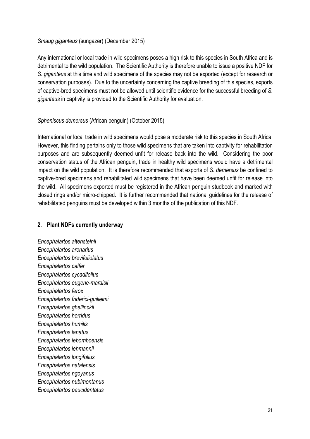#### Smaug giganteus (sungazer) (December 2015)

Any international or local trade in wild specimens poses a high risk to this species in South Africa and is detrimental to the wild population. The Scientific Authority is therefore unable to issue a positive NDF for S. giganteus at this time and wild specimens of the species may not be exported (except for research or conservation purposes). Due to the uncertainty concerning the captive breeding of this species, exports of captive-bred specimens must not be allowed until scientific evidence for the successful breeding of S. giganteus in captivity is provided to the Scientific Authority for evaluation.

#### Spheniscus demersus (African penguin) (October 2015)

International or local trade in wild specimens would pose a moderate risk to this species in South Africa. However, this finding pertains only to those wild specimens that are taken into captivity for rehabilitation purposes and are subsequently deemed unfit for release back into the wild. Considering the poor conservation status of the African penguin, trade in healthy wild specimens would have a detrimental impact on the wild population. It is therefore recommended that exports of S. demersus be confined to captive-bred specimens and rehabilitated wild specimens that have been deemed unfit for release into the wild. All specimens exported must be registered in the African penguin studbook and marked with closed rings and/or micro-chipped. It is further recommended that national guidelines for the release of rehabilitated penguins must be developed within 3 months of the publication of this NDF.

#### 2. Plant NDFs currently underway

Encephalartos altensteinii Encephalartos arenarius Encephalartos brevifoliolatus Encephalartos caffer Encephalartos cycadifolius Encephalartos eugene-maraisii Encephalartos ferox Encephalartos friderici-guilielmi Encephalartos ghellinckii Encephalartos horridus Encephalartos humilis Encephalartos lanatus Encephalartos lebomboensis Encephalartos lehmannii Encephalartos longifolius Encephalartos natalensis Encephalartos ngoyanus Encephalartos nubimontanus Encephalartos paucidentatus